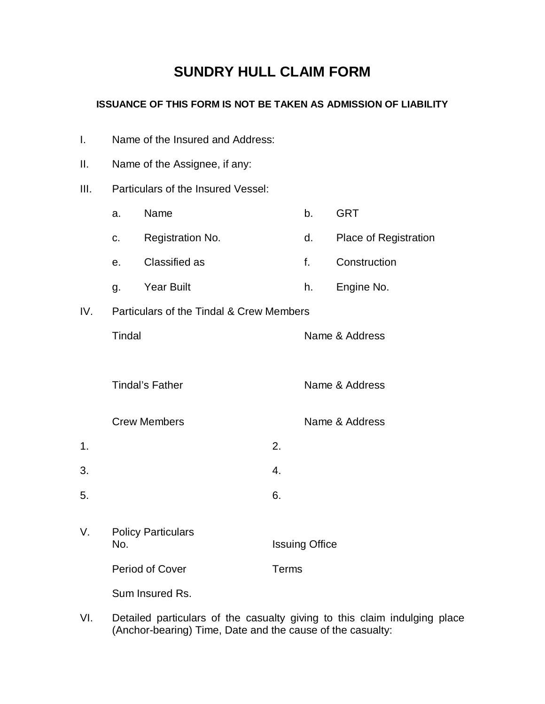## **SUNDRY HULL CLAIM FORM**

## **ISSUANCE OF THIS FORM IS NOT BE TAKEN AS ADMISSION OF LIABILITY**

I. Name of the Insured and Address:

| Ш.   | Name of the Assignee, if any:            |                     |                  |                       |                       |  |
|------|------------------------------------------|---------------------|------------------|-----------------------|-----------------------|--|
| III. | Particulars of the Insured Vessel:       |                     |                  |                       |                       |  |
|      | a.                                       | Name                |                  | b <sub>1</sub>        | <b>GRT</b>            |  |
|      | C.                                       | Registration No.    |                  | d.                    | Place of Registration |  |
|      | e.                                       | Classified as       |                  | f.                    | Construction          |  |
|      | g.                                       | <b>Year Built</b>   |                  | h.                    | Engine No.            |  |
| IV.  | Particulars of the Tindal & Crew Members |                     |                  |                       |                       |  |
|      | Tindal                                   |                     |                  | Name & Address        |                       |  |
|      |                                          |                     |                  |                       |                       |  |
|      | <b>Tindal's Father</b>                   |                     |                  |                       | Name & Address        |  |
|      |                                          | <b>Crew Members</b> |                  |                       | Name & Address        |  |
| 1.   |                                          |                     | 2.               |                       |                       |  |
| 3.   |                                          |                     | $\overline{4}$ . |                       |                       |  |
| 5.   |                                          |                     | 6.               |                       |                       |  |
| V.   | <b>Policy Particulars</b><br>No.         |                     |                  | <b>Issuing Office</b> |                       |  |
|      | Period of Cover                          |                     | <b>Terms</b>     |                       |                       |  |
|      |                                          | Sum Insured Rs.     |                  |                       |                       |  |
|      |                                          |                     |                  |                       |                       |  |

VI. Detailed particulars of the casualty giving to this claim indulging place (Anchor-bearing) Time, Date and the cause of the casualty: